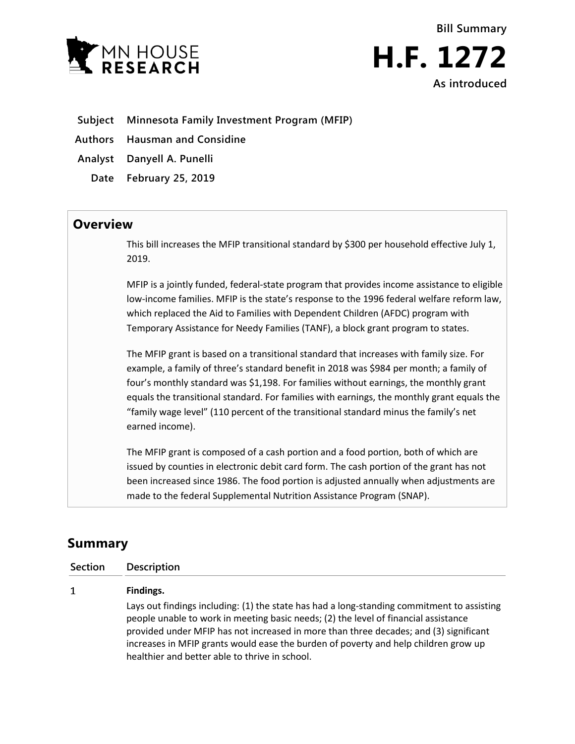

**Bill Summary H.F. 1272 As introduced**

- **Subject Minnesota Family Investment Program (MFIP)**
- **Authors Hausman and Considine**
- **Analyst Danyell A. Punelli**
	- **Date February 25, 2019**

## **Overview**

This bill increases the MFIP transitional standard by \$300 per household effective July 1, 2019.

MFIP is a jointly funded, federal-state program that provides income assistance to eligible low-income families. MFIP is the state's response to the 1996 federal welfare reform law, which replaced the Aid to Families with Dependent Children (AFDC) program with Temporary Assistance for Needy Families (TANF), a block grant program to states.

The MFIP grant is based on a transitional standard that increases with family size. For example, a family of three's standard benefit in 2018 was \$984 per month; a family of four's monthly standard was \$1,198. For families without earnings, the monthly grant equals the transitional standard. For families with earnings, the monthly grant equals the "family wage level" (110 percent of the transitional standard minus the family's net earned income).

The MFIP grant is composed of a cash portion and a food portion, both of which are issued by counties in electronic debit card form. The cash portion of the grant has not been increased since 1986. The food portion is adjusted annually when adjustments are made to the federal Supplemental Nutrition Assistance Program (SNAP).

## **Summary**

| Section | <b>Description</b>                                                                                                                                                                                                                                                                                                                                                                                                  |
|---------|---------------------------------------------------------------------------------------------------------------------------------------------------------------------------------------------------------------------------------------------------------------------------------------------------------------------------------------------------------------------------------------------------------------------|
| 1       | Findings.                                                                                                                                                                                                                                                                                                                                                                                                           |
|         | Lays out findings including: (1) the state has had a long-standing commitment to assisting<br>people unable to work in meeting basic needs; (2) the level of financial assistance<br>provided under MFIP has not increased in more than three decades; and (3) significant<br>increases in MFIP grants would ease the burden of poverty and help children grow up<br>healthier and better able to thrive in school. |